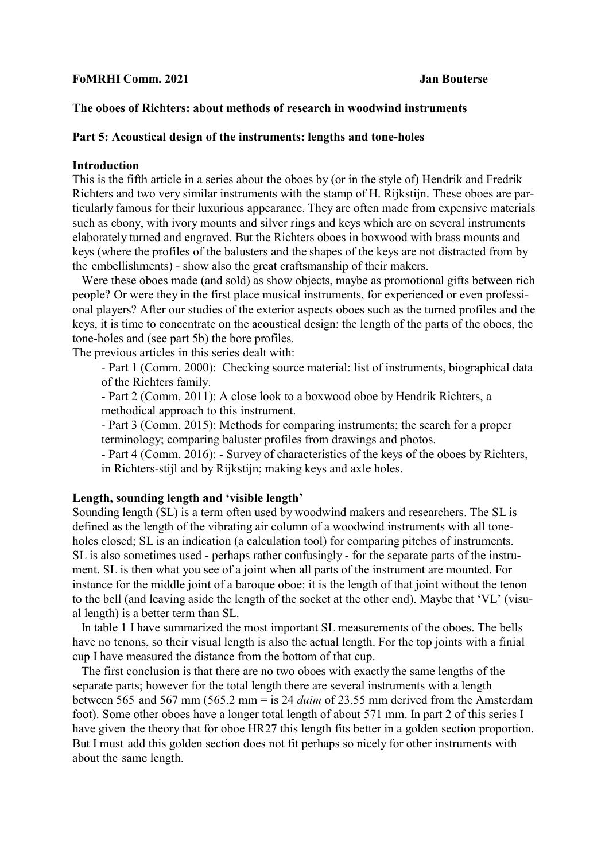# **FoMRHI Comm. 2021 Jan Bouterse**

# **The oboes of Richters: about methods of research in woodwind instruments**

## **Part 5: Acoustical design of the instruments: lengths and tone-holes**

#### **Introduction**

This is the fifth article in a series about the oboes by (or in the style of) Hendrik and Fredrik Richters and two very similar instruments with the stamp of H. Rijkstijn. These oboes are particularly famous for their luxurious appearance. They are often made from expensive materials such as ebony, with ivory mounts and silver rings and keys which are on several instruments elaborately turned and engraved. But the Richters oboes in boxwood with brass mounts and keys (where the profiles of the balusters and the shapes of the keys are not distracted from by the embellishments) - show also the great craftsmanship of their makers.

 Were these oboes made (and sold) as show objects, maybe as promotional gifts between rich people? Or were they in the first place musical instruments, for experienced or even professional players? After our studies of the exterior aspects oboes such as the turned profiles and the keys, it is time to concentrate on the acoustical design: the length of the parts of the oboes, the tone-holes and (see part 5b) the bore profiles.

The previous articles in this series dealt with:

- Part 1 (Comm. 2000): Checking source material: list of instruments, biographical data of the Richters family.

- Part 2 (Comm. 2011): A close look to a boxwood oboe by Hendrik Richters, a methodical approach to this instrument.

- Part 3 (Comm. 2015): Methods for comparing instruments; the search for a proper terminology; comparing baluster profiles from drawings and photos.

- Part 4 (Comm. 2016): - Survey of characteristics of the keys of the oboes by Richters, in Richters-stijl and by Rijkstijn; making keys and axle holes.

# **Length, sounding length and 'visible length'**

Sounding length (SL) is a term often used by woodwind makers and researchers. The SL is defined as the length of the vibrating air column of a woodwind instruments with all toneholes closed; SL is an indication (a calculation tool) for comparing pitches of instruments. SL is also sometimes used - perhaps rather confusingly - for the separate parts of the instrument. SL is then what you see of a joint when all parts of the instrument are mounted. For instance for the middle joint of a baroque oboe: it is the length of that joint without the tenon to the bell (and leaving aside the length of the socket at the other end). Maybe that 'VL' (visual length) is a better term than SL.

 In table 1 I have summarized the most important SL measurements of the oboes. The bells have no tenons, so their visual length is also the actual length. For the top joints with a finial cup I have measured the distance from the bottom of that cup.

 The first conclusion is that there are no two oboes with exactly the same lengths of the separate parts; however for the total length there are several instruments with a length between 565 and 567 mm (565.2 mm = is 24 *duim* of 23.55 mm derived from the Amsterdam foot). Some other oboes have a longer total length of about 571 mm. In part 2 of this series I have given the theory that for oboe HR27 this length fits better in a golden section proportion. But I must add this golden section does not fit perhaps so nicely for other instruments with about the same length.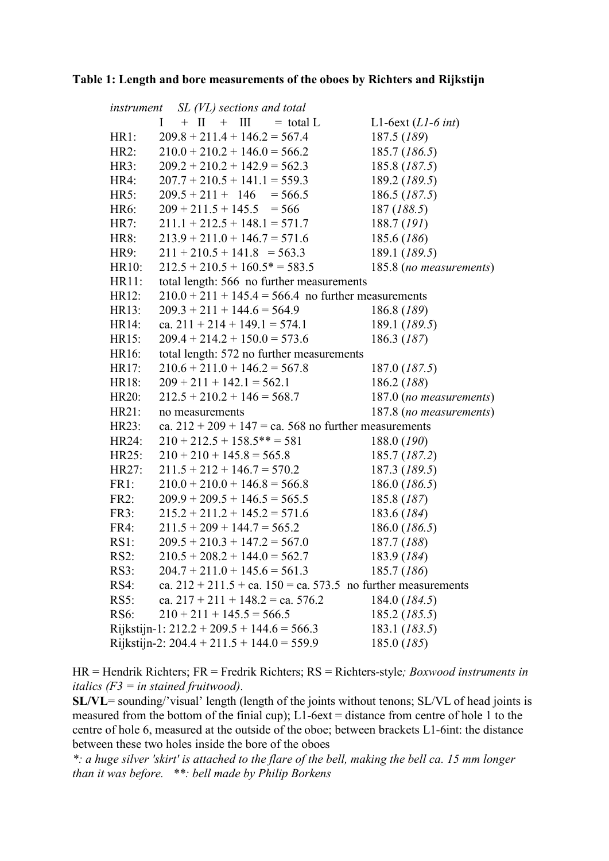### Table 1: Length and bore measurements of the oboes by Richters and Rijkstijn

| instrument $SL(VL)$ sections and total                        |                                                                   |                         |  |  |  |
|---------------------------------------------------------------|-------------------------------------------------------------------|-------------------------|--|--|--|
|                                                               | $+$ II $+$ III<br>$=$ total L<br>$\mathbf{I}$                     | L1-6ext $(L1-6int)$     |  |  |  |
| HR1:                                                          | $209.8 + 211.4 + 146.2 = 567.4$                                   | 187.5 (189)             |  |  |  |
| HR2:                                                          | $210.0 + 210.2 + 146.0 = 566.2$                                   | 185.7 (186.5)           |  |  |  |
| HR3:                                                          | $209.2 + 210.2 + 142.9 = 562.3$                                   | 185.8 (187.5)           |  |  |  |
| HR4:                                                          | $207.7 + 210.5 + 141.1 = 559.3$                                   | 189.2 (189.5)           |  |  |  |
| HR5:                                                          | $209.5 + 211 + 146 = 566.5$                                       | 186.5 (187.5)           |  |  |  |
| HR6:                                                          | $209 + 211.5 + 145.5 = 566$                                       | 187 (188.5)             |  |  |  |
| HR7:                                                          | $211.1 + 212.5 + 148.1 = 571.7$                                   | 188.7 (191)             |  |  |  |
| HR8:                                                          | $213.9 + 211.0 + 146.7 = 571.6$                                   | 185.6 (186)             |  |  |  |
| HR9:                                                          | $211 + 210.5 + 141.8 = 563.3$                                     | 189.1 (189.5)           |  |  |  |
| HR10:                                                         | $212.5 + 210.5 + 160.5^* = 583.5$                                 | 185.8 (no measurements) |  |  |  |
| HR11:                                                         | total length: 566 no further measurements                         |                         |  |  |  |
| HR12:                                                         | $210.0 + 211 + 145.4 = 566.4$ no further measurements             |                         |  |  |  |
| HR13:                                                         | $209.3 + 211 + 144.6 = 564.9$                                     | 186.8 (189)             |  |  |  |
| HR14:                                                         | ca. $211 + 214 + 149.1 = 574.1$                                   | 189.1 (189.5)           |  |  |  |
| HR15:                                                         | $209.4 + 214.2 + 150.0 = 573.6$                                   | 186.3 (187)             |  |  |  |
| HR16:                                                         | total length: 572 no further measurements                         |                         |  |  |  |
| HR17:                                                         | $210.6 + 211.0 + 146.2 = 567.8$                                   | 187.0 (187.5)           |  |  |  |
| HR18:                                                         | $209 + 211 + 142.1 = 562.1$                                       | 186.2 (188)             |  |  |  |
| HR20:                                                         | $212.5 + 210.2 + 146 = 568.7$                                     | 187.0 (no measurements) |  |  |  |
| HR21:                                                         | no measurements                                                   | 187.8 (no measurements) |  |  |  |
| HR23:                                                         | ca. $212 + 209 + 147 =$ ca. 568 no further measurements           |                         |  |  |  |
| HR24:                                                         | $210 + 212.5 + 158.5$ ** = 581                                    | 188.0 (190)             |  |  |  |
| HR25:                                                         | $210 + 210 + 145.8 = 565.8$                                       | 185.7 (187.2)           |  |  |  |
| HR27:                                                         | $211.5 + 212 + 146.7 = 570.2$                                     | 187.3 (189.5)           |  |  |  |
| FR1:                                                          | $210.0 + 210.0 + 146.8 = 566.8$                                   | 186.0 (186.5)           |  |  |  |
| FR2:                                                          | $209.9 + 209.5 + 146.5 = 565.5$                                   | 185.8 (187)             |  |  |  |
| FR3:                                                          | $215.2 + 211.2 + 145.2 = 571.6$                                   | 183.6 (184)             |  |  |  |
| $FR4$ :                                                       | $211.5 + 209 + 144.7 = 565.2$                                     | 186.0 (186.5)           |  |  |  |
| $RS1$ :                                                       | $209.5 + 210.3 + 147.2 = 567.0$                                   | 187.7 (188)             |  |  |  |
| $RS2$ :                                                       | $210.5 + 208.2 + 144.0 = 562.7$                                   | 183.9 (184)             |  |  |  |
| $RS3$ :                                                       | $204.7 + 211.0 + 145.6 = 561.3$                                   | 185.7 (186)             |  |  |  |
| $RS4$ :                                                       | ca. $212 + 211.5 +$ ca. $150 =$ ca. 573.5 no further measurements |                         |  |  |  |
| $RS5$ :                                                       | ca. $217 + 211 + 148.2 =$ ca. 576.2                               | 184.0 (184.5)           |  |  |  |
| <b>RS6:</b>                                                   | $210 + 211 + 145.5 = 566.5$                                       | 185.2 (185.5)           |  |  |  |
| Rijkstijn-1: $212.2 + 209.5 + 144.6 = 566.3$<br>183.1 (183.5) |                                                                   |                         |  |  |  |
|                                                               | Rijkstijn-2: 204.4 + 211.5 + 144.0 = 559.9                        | 185.0 (185)             |  |  |  |

 $HR = Hendrik$  Richters;  $FR = Fredrik$  Richters;  $RS = Richters$ -style; *Boxwood instruments in italics* ( $F3$  = *in stained fruitwood*).

SL/VL= sounding/'visual' length (length of the joints without tenons; SL/VL of head joints is measured from the bottom of the finial cup);  $L1$ -6ext = distance from centre of hole 1 to the centre of hole 6, measured at the outside of the oboe; between brackets L1-6int: the distance between these two holes inside the bore of the oboes

\*: a huge silver 'skirt' is attached to the flare of the bell, making the bell ca. 15 mm longer than it was before. \*\*: bell made by Philip Borkens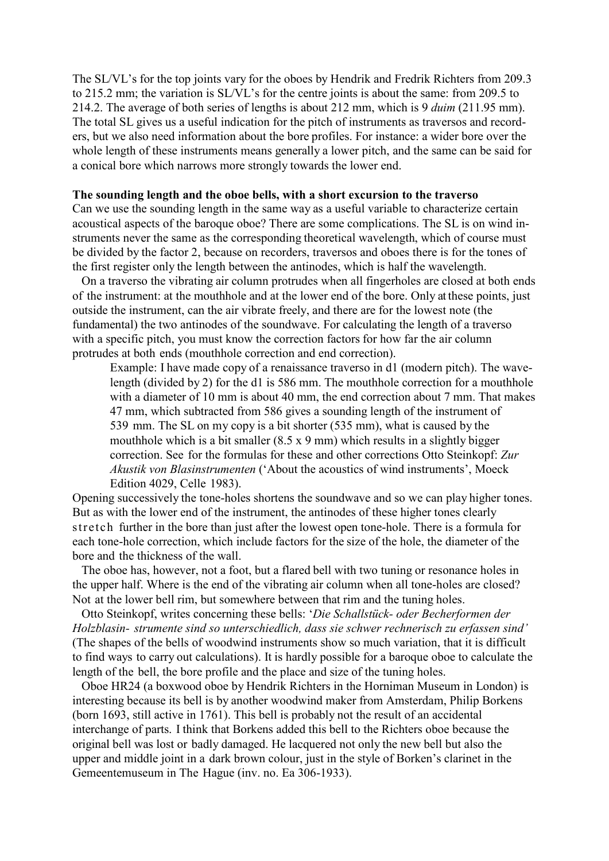The SL/VL's for the top joints vary for the oboes by Hendrik and Fredrik Richters from 209.3 to 215.2 mm; the variation is SL/VL's for the centre joints is about the same: from 209.5 to 214.2. The average of both series of lengths is about 212 mm, which is 9 *duim* (211.95 mm). The total SL gives us a useful indication for the pitch of instruments as traversos and recorders, but we also need information about the bore profiles. For instance: a wider bore over the whole length of these instruments means generally a lower pitch, and the same can be said for a conical bore which narrows more strongly towards the lower end.

#### **The sounding length and the oboe bells, with a short excursion to the traverso**

Can we use the sounding length in the same way as a useful variable to characterize certain acoustical aspects of the baroque oboe? There are some complications. The SL is on wind instruments never the same as the corresponding theoretical wavelength, which of course must be divided by the factor 2, because on recorders, traversos and oboes there is for the tones of the first register only the length between the antinodes, which is half the wavelength.

 On a traverso the vibrating air column protrudes when all fingerholes are closed at both ends of the instrument: at the mouthhole and at the lower end of the bore. Only at these points, just outside the instrument, can the air vibrate freely, and there are for the lowest note (the fundamental) the two antinodes of the soundwave. For calculating the length of a traverso with a specific pitch, you must know the correction factors for how far the air column protrudes at both ends (mouthhole correction and end correction).

Example: I have made copy of a renaissance traverso in d1 (modern pitch). The wavelength (divided by 2) for the d1 is 586 mm. The mouthhole correction for a mouthhole with a diameter of 10 mm is about 40 mm, the end correction about 7 mm. That makes 47 mm, which subtracted from 586 gives a sounding length of the instrument of 539 mm. The SL on my copy is a bit shorter (535 mm), what is caused by the mouthhole which is a bit smaller (8.5 x 9 mm) which results in a slightly bigger correction. See for the formulas for these and other corrections Otto Steinkopf: *Zur Akustik von Blasinstrumenten* ('About the acoustics of wind instruments', Moeck Edition 4029, Celle 1983).

Opening successively the tone-holes shortens the soundwave and so we can play higher tones. But as with the lower end of the instrument, the antinodes of these higher tones clearly stretch further in the bore than just after the lowest open tone-hole. There is a formula for each tone-hole correction, which include factors for the size of the hole, the diameter of the bore and the thickness of the wall.

 The oboe has, however, not a foot, but a flared bell with two tuning or resonance holes in the upper half. Where is the end of the vibrating air column when all tone-holes are closed? Not at the lower bell rim, but somewhere between that rim and the tuning holes.

 Otto Steinkopf, writes concerning these bells: '*Die Schallstück- oder Becherformen der Holzblasin- strumente sind so unterschiedlich, dass sie schwer rechnerisch zu erfassen sind'* (The shapes of the bells of woodwind instruments show so much variation, that it is difficult to find ways to carry out calculations). It is hardly possible for a baroque oboe to calculate the length of the bell, the bore profile and the place and size of the tuning holes.

 Oboe HR24 (a boxwood oboe by Hendrik Richters in the Horniman Museum in London) is interesting because its bell is by another woodwind maker from Amsterdam, Philip Borkens (born 1693, still active in 1761). This bell is probably not the result of an accidental interchange of parts. I think that Borkens added this bell to the Richters oboe because the original bell was lost or badly damaged. He lacquered not only the new bell but also the upper and middle joint in a dark brown colour, just in the style of Borken's clarinet in the Gemeentemuseum in The Hague (inv. no. Ea 306-1933).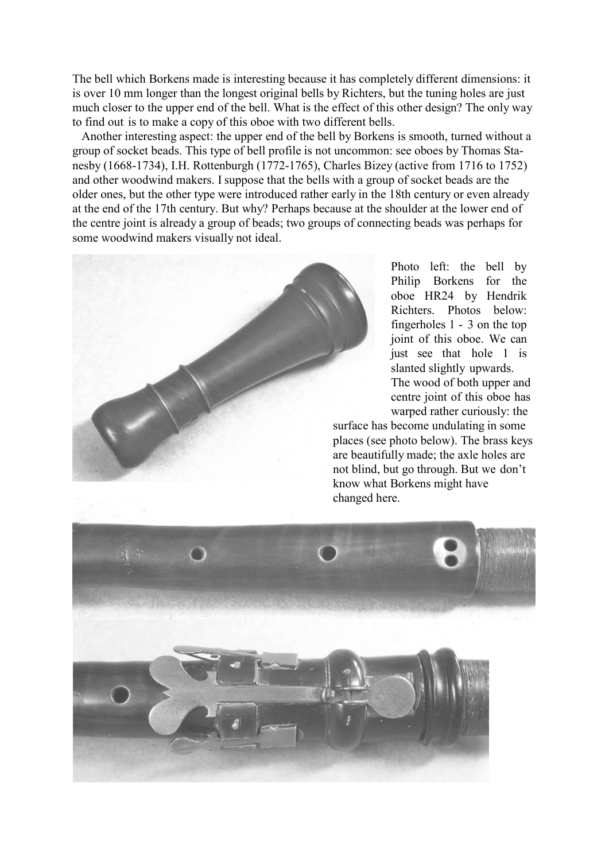The bell which Borkens made is interesting because it has completely different dimensions: it is over 10 mm longer than the longest original bells by Richters, but the tuning holes are just much closer to the upper end of the bell. What is the effect of this other design? The only way to find out is to make a copy of this oboe with two different bells.

 Another interesting aspect: the upper end of the bell by Borkens is smooth, turned without a group of socket beads. This type of bell profile is not uncommon: see oboes by Thomas Stanesby (1668-1734), I.H. Rottenburgh (1772-1765), Charles Bizey (active from 1716 to 1752) and other woodwind makers. Isuppose that the bells with a group of socket beads are the older ones, but the other type were introduced rather early in the 18th century or even already at the end of the 17th century. But why? Perhaps because at the shoulder at the lower end of the centre joint is already a group of beads; two groups of connecting beads was perhaps for some woodwind makers visually not ideal.



Photo left: the bell by Philip Borkens for the oboe HR24 by Hendrik Richters. Photos below: fingerholes 1 - 3 on the top joint of this oboe. We can just see that hole 1 is slanted slightly upwards. The wood of both upper and centre joint of this oboe has warped rather curiously: the

surface has become undulating in some places (see photo below). The brass keys are beautifully made; the axle holes are not blind, but go through. But we don't know what Borkens might have changed here.

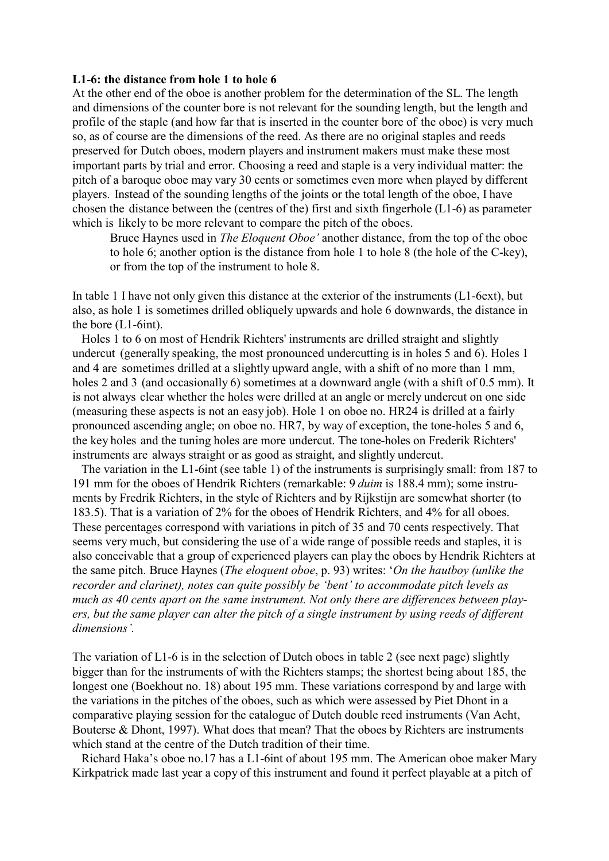### **L1-6: the distance from hole 1 to hole 6**

At the other end of the oboe is another problem for the determination of the SL. The length and dimensions of the counter bore is not relevant for the sounding length, but the length and profile of the staple (and how far that is inserted in the counter bore of the oboe) is very much so, as of course are the dimensions of the reed. As there are no original staples and reeds preserved for Dutch oboes, modern players and instrument makers must make these most important parts by trial and error. Choosing a reed and staple is a very individual matter: the pitch of a baroque oboe may vary 30 cents or sometimes even more when played by different players. Instead of the sounding lengths of the joints or the total length of the oboe, I have chosen the distance between the (centres of the) first and sixth fingerhole (L1-6) as parameter which is likely to be more relevant to compare the pitch of the oboes.

Bruce Haynes used in *The Eloquent Oboe'* another distance, from the top of the oboe to hole 6; another option is the distance from hole 1 to hole 8 (the hole of the C-key), or from the top of the instrument to hole 8.

In table 1 I have not only given this distance at the exterior of the instruments (L1-6ext), but also, as hole 1 is sometimes drilled obliquely upwards and hole 6 downwards, the distance in the bore (L1-6int).

 Holes 1 to 6 on most of Hendrik Richters' instruments are drilled straight and slightly undercut (generally speaking, the most pronounced undercutting is in holes 5 and 6). Holes 1 and 4 are sometimes drilled at a slightly upward angle, with a shift of no more than 1 mm, holes 2 and 3 (and occasionally 6) sometimes at a downward angle (with a shift of 0.5 mm). It is not always clear whether the holes were drilled at an angle or merely undercut on one side (measuring these aspects is not an easy job). Hole 1 on oboe no. HR24 is drilled at a fairly pronounced ascending angle; on oboe no. HR7, by way of exception, the tone-holes 5 and 6, the key holes and the tuning holes are more undercut. The tone-holes on Frederik Richters' instruments are always straight or as good as straight, and slightly undercut.

 The variation in the L1-6int (see table 1) of the instruments is surprisingly small: from 187 to 191 mm for the oboes of Hendrik Richters (remarkable: 9 *duim* is 188.4 mm); some instruments by Fredrik Richters, in the style of Richters and by Rijkstijn are somewhat shorter (to 183.5). That is a variation of 2% for the oboes of Hendrik Richters, and 4% for all oboes. These percentages correspond with variations in pitch of 35 and 70 cents respectively. That seems very much, but considering the use of a wide range of possible reeds and staples, it is also conceivable that a group of experienced players can play the oboes by Hendrik Richters at the same pitch. Bruce Haynes (*The eloquent oboe*, p. 93) writes: '*On the hautboy (unlike the recorder and clarinet), notes can quite possibly be 'bent' to accommodate pitch levels as much as 40 cents apart on the same instrument. Not only there are differences between players, but the same player can alter the pitch of a single instrument by using reeds of different dimensions'.*

The variation of L1-6 is in the selection of Dutch oboes in table 2 (see next page) slightly bigger than for the instruments of with the Richters stamps; the shortest being about 185, the longest one (Boekhout no. 18) about 195 mm. These variations correspond by and large with the variations in the pitches of the oboes, such as which were assessed by Piet Dhont in a comparative playing session for the catalogue of Dutch double reed instruments (Van Acht, Bouterse & Dhont, 1997). What does that mean? That the oboes by Richters are instruments which stand at the centre of the Dutch tradition of their time.

 Richard Haka's oboe no.17 has a L1-6int of about 195 mm. The American oboe maker Mary Kirkpatrick made last year a copy of this instrument and found it perfect playable at a pitch of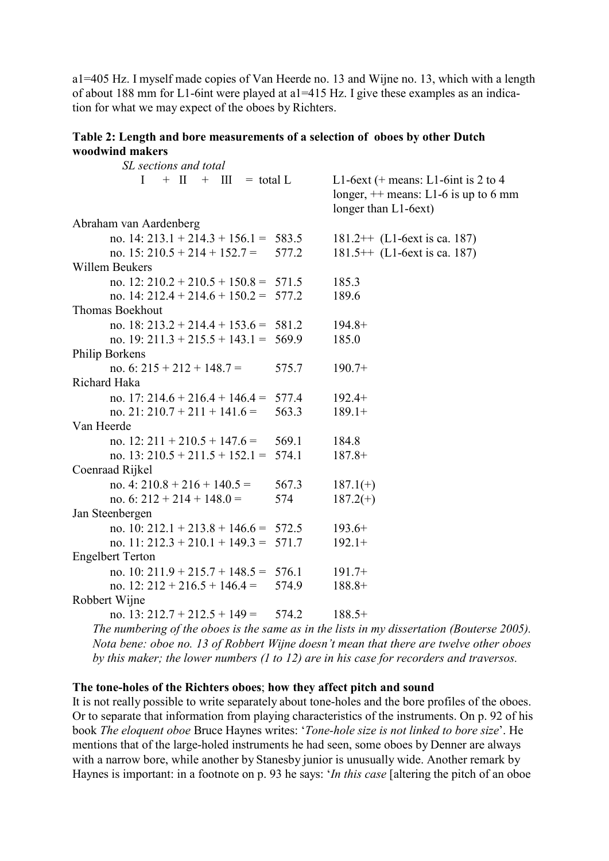a1=405 Hz. I myself made copies of Van Heerde no. 13 and Wijne no. 13, which with a length of about 188 mm for L1-6int were played at a1=415 Hz. I give these examples as an indication for what we may expect of the oboes by Richters.

> $\overline{4}$ mm

# Table 2: Length and bore measurements of a selection of oboes by other Dutch woodwind makers

| SL sections and total                   |       |                                                                          |
|-----------------------------------------|-------|--------------------------------------------------------------------------|
| $I + II + III = total L$                |       | L1-6ext (+ means: L1-6int is 2 to<br>longer, $++$ means: L1-6 is up to 6 |
|                                         |       | longer than L1-6ext)                                                     |
| Abraham van Aardenberg                  |       |                                                                          |
| no. 14: 213.1 + 214.3 + 156.1 = 583.5   |       | $181.2++$ (L1-6ext is ca. 187)                                           |
| no. $15: 210.5 + 214 + 152.7 =$         | 577.2 | $181.5++$ (L1-6ext is ca. 187)                                           |
| Willem Beukers                          |       |                                                                          |
| no. 12: $210.2 + 210.5 + 150.8 = 571.5$ |       | 185.3                                                                    |
| no. 14: 212.4 + 214.6 + 150.2 = 577.2   |       | 189.6                                                                    |
| Thomas Boekhout                         |       |                                                                          |
| no. 18: $213.2 + 214.4 + 153.6 = 581.2$ |       | $194.8+$                                                                 |
| no. 19: 211.3 + 215.5 + 143.1 = 569.9   |       | 185.0                                                                    |
| Philip Borkens                          |       |                                                                          |
| no. 6: $215 + 212 + 148.7 =$            | 575.7 | $190.7+$                                                                 |
| Richard Haka                            |       |                                                                          |
| no. 17: 214.6 + 216.4 + 146.4 = 577.4   |       | $192.4+$                                                                 |
| no. 21: 210.7 + 211 + 141.6 =           | 563.3 | $189.1+$                                                                 |
| Van Heerde                              |       |                                                                          |
| no. $12: 211 + 210.5 + 147.6 =$         | 569.1 | 184.8                                                                    |
| no. 13: $210.5 + 211.5 + 152.1 = 574.1$ |       | $187.8+$                                                                 |
| Coenraad Rijkel                         |       |                                                                          |
| no. 4: $210.8 + 216 + 140.5 =$          | 567.3 | $187.1(+)$                                                               |
| no. 6: $212 + 214 + 148.0 =$            | 574   | $187.2(+)$                                                               |
| Jan Steenbergen                         |       |                                                                          |
| no. 10: 212.1 + 213.8 + 146.6 = $572.5$ |       | $193.6+$                                                                 |
| no. 11: $212.3 + 210.1 + 149.3 = 571.7$ |       | $192.1+$                                                                 |
| <b>Engelbert Terton</b>                 |       |                                                                          |
| no. 10: 211.9 + 215.7 + 148.5 = 576.1   |       | $191.7+$                                                                 |
| no. $12: 212 + 216.5 + 146.4 =$         | 574.9 | $188.8+$                                                                 |
| Robbert Wijne                           |       |                                                                          |
| no. 13: $212.7 + 212.5 + 149 =$         | 574.2 | $188.5+$                                                                 |
| $\sim$                                  |       |                                                                          |

The numbering of the oboes is the same as in the lists in my dissertation (Bouterse 2005). Nota bene: oboe no. 13 of Robbert Wijne doesn't mean that there are twelve other oboes by this maker; the lower numbers  $(1 to 12)$  are in his case for recorders and traversos.

# The tone-holes of the Richters oboes; how they affect pitch and sound

It is not really possible to write separately about tone-holes and the bore profiles of the oboes. Or to separate that information from playing characteristics of the instruments. On p. 92 of his book The eloquent oboe Bruce Haynes writes: 'Tone-hole size is not linked to bore size'. He mentions that of the large-holed instruments he had seen, some oboes by Denner are always with a narrow bore, while another by Stanesby junior is unusually wide. Another remark by Haynes is important: in a footnote on p. 93 he says: 'In this case [altering the pitch of an oboe]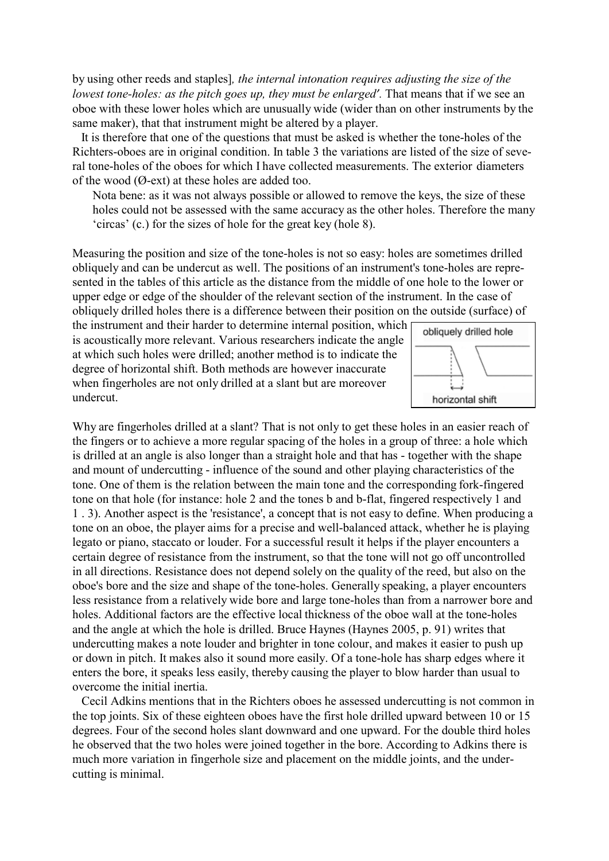by using other reeds and staples]*, the internal intonation requires adjusting the size of the lowest tone-holes: as the pitch goes up, they must be enlarged'.* That means that if we see an oboe with these lower holes which are unusually wide (wider than on other instruments by the same maker), that that instrument might be altered by a player.

 It is therefore that one of the questions that must be asked is whether the tone-holes of the Richters-oboes are in original condition. In table 3 the variations are listed of the size of several tone-holes of the oboes for which I have collected measurements. The exterior diameters of the wood (Ø-ext) at these holes are added too.

Nota bene: as it was not always possible or allowed to remove the keys, the size of these holes could not be assessed with the same accuracy as the other holes. Therefore the many 'circas' (c.) for the sizes of hole for the great key (hole 8).

Measuring the position and size of the tone-holes is not so easy: holes are sometimes drilled obliquely and can be undercut as well. The positions of an instrument's tone-holes are represented in the tables of this article as the distance from the middle of one hole to the lower or upper edge or edge of the shoulder of the relevant section of the instrument. In the case of obliquely drilled holes there is a difference between their position on the outside (surface) of

the instrument and their harder to determine internal position, which is acoustically more relevant. Various researchers indicate the angle at which such holes were drilled; another method is to indicate the degree of horizontal shift. Both methods are however inaccurate when fingerholes are not only drilled at a slant but are moreover undercut.



Why are fingerholes drilled at a slant? That is not only to get these holes in an easier reach of the fingers or to achieve a more regular spacing of the holes in a group of three: a hole which is drilled at an angle is also longer than a straight hole and that has - together with the shape and mount of undercutting - influence of the sound and other playing characteristics of the tone. One of them is the relation between the main tone and the corresponding fork-fingered tone on that hole (for instance: hole 2 and the tones b and b-flat, fingered respectively 1 and 1 . 3). Another aspect is the 'resistance', a concept that is not easy to define. When producing a tone on an oboe, the player aims for a precise and well-balanced attack, whether he is playing legato or piano, staccato or louder. For a successful result it helps if the player encounters a certain degree of resistance from the instrument, so that the tone will not go off uncontrolled in all directions. Resistance does not depend solely on the quality of the reed, but also on the oboe's bore and the size and shape of the tone-holes. Generally speaking, a player encounters less resistance from a relatively wide bore and large tone-holes than from a narrower bore and holes. Additional factors are the effective local thickness of the oboe wall at the tone-holes and the angle at which the hole is drilled. Bruce Haynes (Haynes 2005, p. 91) writes that undercutting makes a note louder and brighter in tone colour, and makes it easier to push up or down in pitch. It makes also it sound more easily. Of a tone-hole has sharp edges where it enters the bore, it speaks less easily, thereby causing the player to blow harder than usual to overcome the initial inertia.

 Cecil Adkins mentions that in the Richters oboes he assessed undercutting is not common in the top joints. Six of these eighteen oboes have the first hole drilled upward between 10 or 15 degrees. Four of the second holes slant downward and one upward. For the double third holes he observed that the two holes were joined together in the bore. According to Adkins there is much more variation in fingerhole size and placement on the middle joints, and the undercutting is minimal.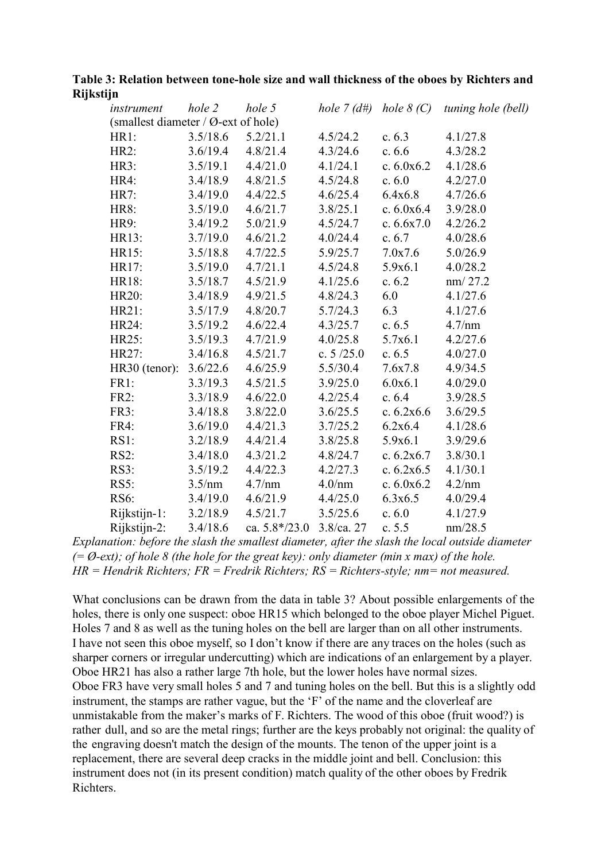# **Table 3: Relation between tone-hole size and wall thickness of the oboes by Richters and Rijkstijn**

| instrument                                       | hole 2   | hole 5          | hole $7(d\#)$ | hole $8(C)$  | tuning hole (bell) |
|--------------------------------------------------|----------|-----------------|---------------|--------------|--------------------|
| (smallest diameter / $\varnothing$ -ext of hole) |          |                 |               |              |                    |
| HR1:                                             | 3.5/18.6 | 5.2/21.1        | 4.5/24.2      | c. $6.3$     | 4.1/27.8           |
| HR2:                                             | 3.6/19.4 | 4.8/21.4        | 4.3/24.6      | c. $6.6$     | 4.3/28.2           |
| HR3:                                             | 3.5/19.1 | 4.4/21.0        | 4.1/24.1      | c. $6.0x6.2$ | 4.1/28.6           |
| HR4:                                             | 3.4/18.9 | 4.8/21.5        | 4.5/24.8      | c. 6.0       | 4.2/27.0           |
| HR7:                                             | 3.4/19.0 | 4.4/22.5        | 4.6/25.4      | 6.4x6.8      | 4.7/26.6           |
| <b>HR8:</b>                                      | 3.5/19.0 | 4.6/21.7        | 3.8/25.1      | c. $6.0x6.4$ | 3.9/28.0           |
| HR9:                                             | 3.4/19.2 | 5.0/21.9        | 4.5/24.7      | c. $6.6x7.0$ | 4.2/26.2           |
| HR13:                                            | 3.7/19.0 | 4.6/21.2        | 4.0/24.4      | c. $6.7$     | 4.0/28.6           |
| HR15:                                            | 3.5/18.8 | 4.7/22.5        | 5.9/25.7      | 7.0x7.6      | 5.0/26.9           |
| HR17:                                            | 3.5/19.0 | 4.7/21.1        | 4.5/24.8      | 5.9x6.1      | 4.0/28.2           |
| HR18:                                            | 3.5/18.7 | 4.5/21.9        | 4.1/25.6      | c. 6.2       | nm/27.2            |
| HR20:                                            | 3.4/18.9 | 4.9/21.5        | 4.8/24.3      | 6.0          | 4.1/27.6           |
| HR21:                                            | 3.5/17.9 | 4.8/20.7        | 5.7/24.3      | 6.3          | 4.1/27.6           |
| HR24:                                            | 3.5/19.2 | 4.6/22.4        | 4.3/25.7      | c. $6.5$     | 4.7/nm             |
| HR25:                                            | 3.5/19.3 | 4.7/21.9        | 4.0/25.8      | 5.7x6.1      | 4.2/27.6           |
| HR27:                                            | 3.4/16.8 | 4.5/21.7        | c. $5/25.0$   | c. $6.5$     | 4.0/27.0           |
| HR30 (tenor):                                    | 3.6/22.6 | 4.6/25.9        | 5.5/30.4      | 7.6x7.8      | 4.9/34.5           |
| FR1:                                             | 3.3/19.3 | 4.5/21.5        | 3.9/25.0      | 6.0x6.1      | 4.0/29.0           |
| <b>FR2:</b>                                      | 3.3/18.9 | 4.6/22.0        | 4.2/25.4      | c. 6.4       | 3.9/28.5           |
| FR3:                                             | 3.4/18.8 | 3.8/22.0        | 3.6/25.5      | c. $6.2x6.6$ | 3.6/29.5           |
| FR4:                                             | 3.6/19.0 | 4.4/21.3        | 3.7/25.2      | 6.2x6.4      | 4.1/28.6           |
| $RS1$ :                                          | 3.2/18.9 | 4.4/21.4        | 3.8/25.8      | 5.9x6.1      | 3.9/29.6           |
| <b>RS2:</b>                                      | 3.4/18.0 | 4.3/21.2        | 4.8/24.7      | c. $6.2x6.7$ | 3.8/30.1           |
| $RS3$ :                                          | 3.5/19.2 | 4.4/22.3        | 4.2/27.3      | c. $6.2x6.5$ | 4.1/30.1           |
| $RS5$ :                                          | 3.5/nm   | 4.7/nm          | 4.0/mm        | c. $6.0x6.2$ | 4.2/nm             |
| <b>RS6:</b>                                      | 3.4/19.0 | 4.6/21.9        | 4.4/25.0      | 6.3x6.5      | 4.0/29.4           |
| Rijkstijn-1:                                     | 3.2/18.9 | 4.5/21.7        | 3.5/25.6      | c. 6.0       | 4.1/27.9           |
| Rijkstijn-2:                                     | 3.4/18.6 | ca. $5.8*/23.0$ | $3.8$ /ca. 27 | c. $5.5$     | nm/28.5            |

*Explanation: before the slash the smallest diameter, after the slash the local outside diameter (= Ø-ext); of hole 8 (the hole for the great key): only diameter (min x max) of the hole. HR = Hendrik Richters; FR = Fredrik Richters; RS = Richters-style; nm= not measured.*

What conclusions can be drawn from the data in table 3? About possible enlargements of the holes, there is only one suspect: oboe HR15 which belonged to the oboe player Michel Piguet. Holes 7 and 8 as well as the tuning holes on the bell are larger than on all other instruments. I have not seen this oboe myself, so I don't know if there are any traces on the holes (such as sharper corners or irregular undercutting) which are indications of an enlargement by a player. Oboe HR21 has also a rather large 7th hole, but the lower holes have normal sizes. Oboe FR3 have very small holes 5 and 7 and tuning holes on the bell. But this is a slightly odd instrument, the stamps are rather vague, but the 'F' of the name and the cloverleaf are unmistakable from the maker's marks of F. Richters. The wood of this oboe (fruit wood?) is rather dull, and so are the metal rings; further are the keys probably not original: the quality of the engraving doesn't match the design of the mounts. The tenon of the upper joint is a replacement, there are several deep cracks in the middle joint and bell. Conclusion: this instrument does not (in its present condition) match quality of the other oboes by Fredrik Richters.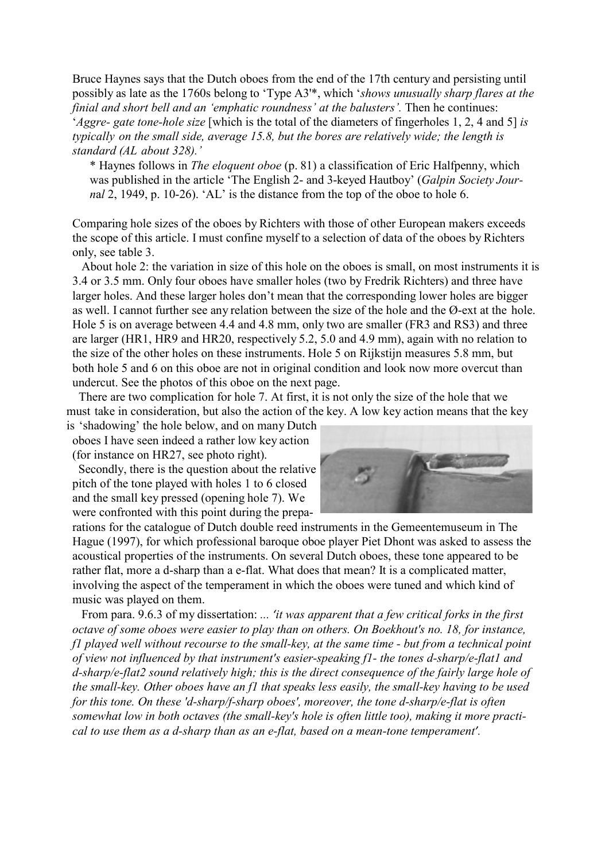Bruce Haynes says that the Dutch oboes from the end of the 17th century and persisting until possibly as late as the 1760s belong to 'Type A3'\*, which '*shows unusually sharp flares at the finial and short bell and an 'emphatic roundness' at the balusters'.* Then he continues: '*Aggre- gate tone-hole size* [which is the total of the diameters of fingerholes 1, 2, 4 and 5] *is typically on the small side, average 15.8, but the bores are relatively wide; the length is standard (AL about 328).'*

\* Haynes follows in *The eloquent oboe* (p. 81) a classification of Eric Halfpenny, which was published in the article 'The English 2- and 3-keyed Hautboy' (*Galpin Society Journ*a*l* 2, 1949, p. 10-26). 'AL' is the distance from the top of the oboe to hole 6.

Comparing hole sizes of the oboes by Richters with those of other European makers exceeds the scope of this article. I must confine myself to a selection of data of the oboes by Richters only, see table 3.

 About hole 2: the variation in size of this hole on the oboes is small, on most instruments it is 3.4 or 3.5 mm. Only four oboes have smaller holes (two by Fredrik Richters) and three have larger holes. And these larger holes don't mean that the corresponding lower holes are bigger as well. I cannot further see any relation between the size of the hole and the Ø-ext at the hole. Hole 5 is on average between 4.4 and 4.8 mm, only two are smaller (FR3 and RS3) and three are larger (HR1, HR9 and HR20, respectively 5.2, 5.0 and 4.9 mm), again with no relation to the size of the other holes on these instruments. Hole 5 on Rijkstijn measures 5.8 mm, but both hole 5 and 6 on this oboe are not in original condition and look now more overcut than undercut. See the photos of this oboe on the next page.

 There are two complication for hole 7. At first, it is not only the size of the hole that we must take in consideration, but also the action of the key. A low key action means that the key

is 'shadowing' the hole below, and on many Dutch oboes I have seen indeed a rather low key action (for instance on HR27, see photo right).

 Secondly, there is the question about the relative pitch of the tone played with holes 1 to 6 closed and the small key pressed (opening hole 7). We were confronted with this point during the prepa-



rations for the catalogue of Dutch double reed instruments in the Gemeentemuseum in The Hague (1997), for which professional baroque oboe player Piet Dhont was asked to assess the acoustical properties of the instruments. On several Dutch oboes, these tone appeared to be rather flat, more a d-sharp than a e-flat. What does that mean? It is a complicated matter, involving the aspect of the temperament in which the oboes were tuned and which kind of music was played on them.

 From para. 9.6.3 of my dissertation: *... 'it was apparent that a few critical forks in the first octave of some oboes were easier to play than on others. On Boekhout's no. 18, for instance, f1 played well without recourse to the small-key, at the same time - but from a technical point of view not influenced by that instrument's easier-speaking f1- the tones d-sharp/e-flat1 and d-sharp/e-flat2 sound relatively high; this is the direct consequence of the fairly large hole of the small-key. Other oboes have an f1 that speaks less easily, the small-key having to be used for this tone. On these 'd-sharp/f-sharp oboes', moreover, the tone d-sharp/e-flat is often somewhat low in both octaves (the small-key's hole is often little too), making it more practical to use them as a d-sharp than as an e-flat, based on a mean-tone temperament'.*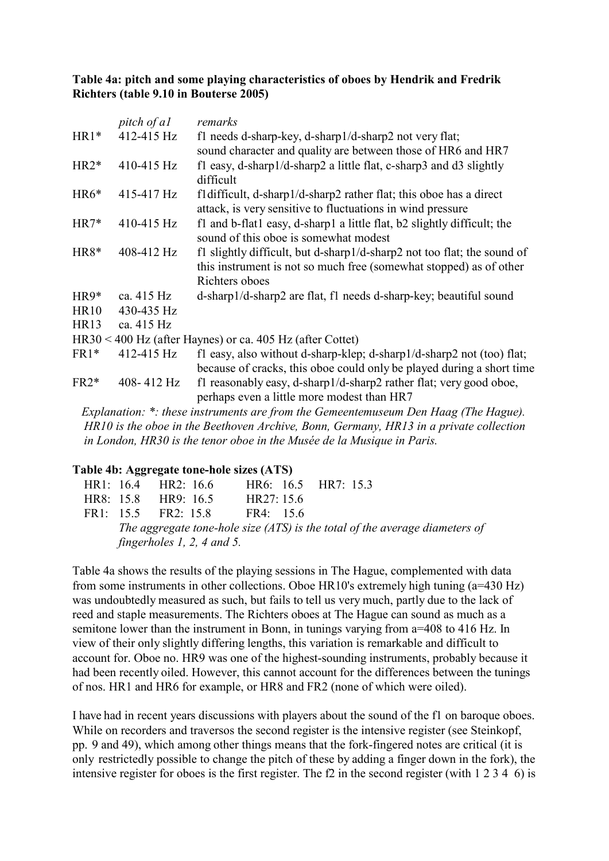# **Table 4a: pitch and some playing characteristics of oboes by Hendrik and Fredrik Richters (table 9.10 in Bouterse 2005)**

|             | pitch of al | remarks                                                                                                                                                         |
|-------------|-------------|-----------------------------------------------------------------------------------------------------------------------------------------------------------------|
| $HR1*$      | 412-415 Hz  | f1 needs d-sharp-key, d-sharp1/d-sharp2 not very flat;                                                                                                          |
|             |             | sound character and quality are between those of HR6 and HR7                                                                                                    |
| $HR2*$      | 410-415 Hz  | f1 easy, d-sharp1/d-sharp2 a little flat, c-sharp3 and $d3$ slightly<br>difficult                                                                               |
| $HR6*$      | 415-417 Hz  | fl difficult, d-sharp1/d-sharp2 rather flat; this oboe has a direct<br>attack, is very sensitive to fluctuations in wind pressure                               |
| $HR7*$      | 410-415 Hz  | f1 and b-flat1 easy, d-sharp1 a little flat, b2 slightly difficult; the<br>sound of this oboe is somewhat modest                                                |
| HR8*        | 408-412 Hz  | f1 slightly difficult, but d-sharp1/d-sharp2 not too flat; the sound of<br>this instrument is not so much free (somewhat stopped) as of other<br>Richters oboes |
| $HR9*$      | ca. 415 Hz  | d-sharp1/d-sharp2 are flat, f1 needs d-sharp-key; beautiful sound                                                                                               |
| <b>HR10</b> | 430-435 Hz  |                                                                                                                                                                 |
| <b>HR13</b> | ca. 415 Hz  |                                                                                                                                                                 |
|             |             | $HR30 < 400$ Hz (after Haynes) or ca. 405 Hz (after Cottet)                                                                                                     |
| $FR1*$      | 412-415 Hz  | f1 easy, also without d-sharp-klep; d-sharp1/d-sharp2 not (too) flat;<br>because of cracks, this oboe could only be played during a short time                  |
| $FR2*$      | 408-412 Hz  | f1 reasonably easy, d-sharp1/d-sharp2 rather flat; very good oboe,<br>perhaps even a little more modest than HR7                                                |
|             |             | Explanation: *: these instruments are from the Gemeentemuseum Den Haag (The Hague).                                                                             |

*Explanation: \*: these instruments are from the Gemeentemuseum Den Haag (The Hague). HR10 is the oboe in the Beethoven Archive, Bonn, Germany, HR13 in a private collection in London, HR30 is the tenor oboe in the Musée de la Musique in Paris.*

# **Table 4b: Aggregate tone-hole sizes (ATS)**

| HR1: $16.4$ HR2: $16.6$ |                              | HR6: 16.5 HR7: 15.3 |  |                                                                             |
|-------------------------|------------------------------|---------------------|--|-----------------------------------------------------------------------------|
| HR8: 15.8 HR9: 16.5     |                              | HR27:15.6           |  |                                                                             |
|                         | $FR1: 155$ $FR2: 158$        | $FR4 \cdot 156$     |  |                                                                             |
|                         |                              |                     |  | The aggregate tone-hole size (ATS) is the total of the average diameters of |
|                         | fingerholes $1, 2, 4$ and 5. |                     |  |                                                                             |

Table 4a shows the results of the playing sessions in The Hague, complemented with data from some instruments in other collections. Oboe HR10's extremely high tuning (a=430 Hz) was undoubtedly measured as such, but fails to tell us very much, partly due to the lack of reed and staple measurements. The Richters oboes at The Hague can sound as much as a semitone lower than the instrument in Bonn, in tunings varying from a=408 to 416 Hz. In view of their only slightly differing lengths, this variation is remarkable and difficult to account for. Oboe no. HR9 was one of the highest-sounding instruments, probably because it had been recently oiled. However, this cannot account for the differences between the tunings of nos. HR1 and HR6 for example, or HR8 and FR2 (none of which were oiled).

I have had in recent years discussions with players about the sound of the f1 on baroque oboes. While on recorders and traversos the second register is the intensive register (see Steinkopf, pp. 9 and 49), which among other things means that the fork-fingered notes are critical (it is only restrictedly possible to change the pitch of these by adding a finger down in the fork), the intensive register for oboes is the first register. The f2 in the second register (with 1 2 3 4 6) is